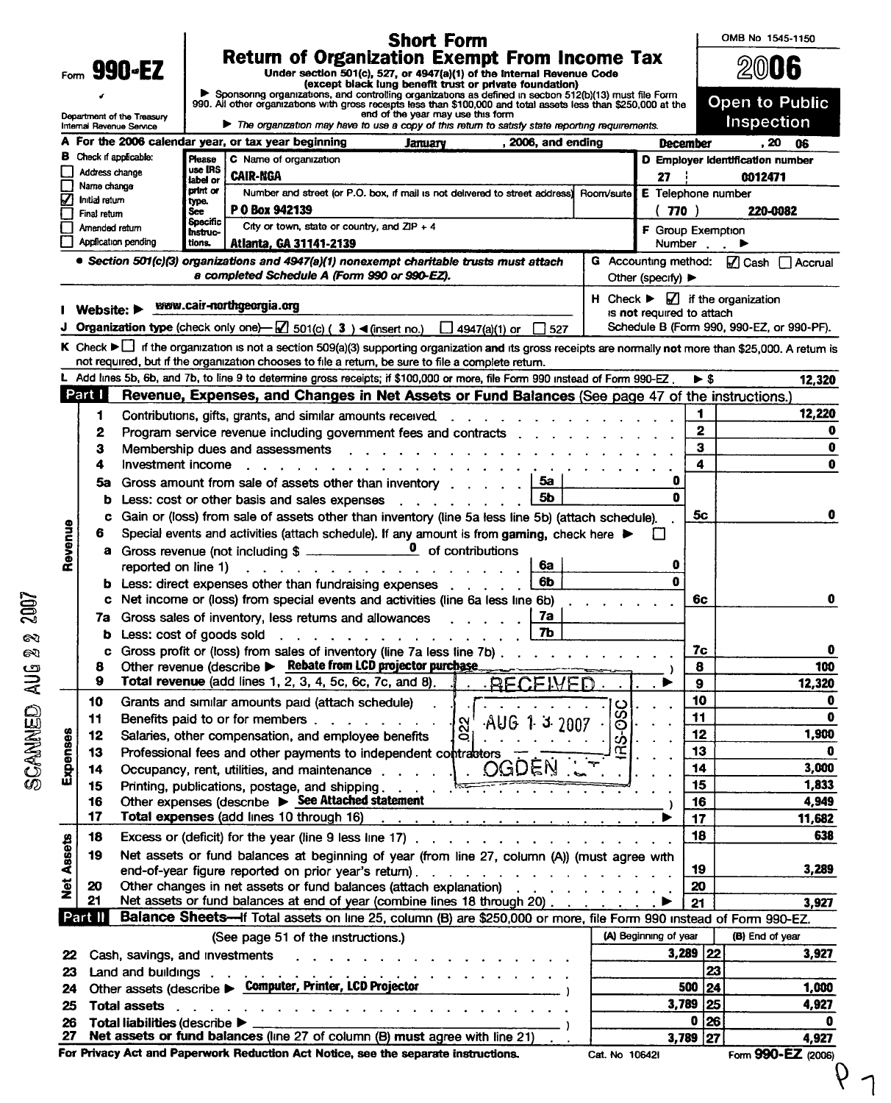|          |                                                                                                                                                                                                         |                                                                                                                                                                                                                                   | <b>Short Form</b>                                                     |                                                                                                                                                                                                                                      |               |                                       |                         | OMB No 1545-1150                                       |
|----------|---------------------------------------------------------------------------------------------------------------------------------------------------------------------------------------------------------|-----------------------------------------------------------------------------------------------------------------------------------------------------------------------------------------------------------------------------------|-----------------------------------------------------------------------|--------------------------------------------------------------------------------------------------------------------------------------------------------------------------------------------------------------------------------------|---------------|---------------------------------------|-------------------------|--------------------------------------------------------|
|          | <b>Return of Organization Exempt From Income Tax</b><br>Form 990-EZ<br>Under section 501(c), 527, or 4947(a)(1) of the Internal Revenue Code<br>(except black lung benefit trust or private foundation) |                                                                                                                                                                                                                                   |                                                                       |                                                                                                                                                                                                                                      |               |                                       |                         | $200$ 06                                               |
|          |                                                                                                                                                                                                         | Sponsoring organizations, and controlling organizations as defined in section 512(b)(13) must file Form<br>990. All other organizations with gross receipts less than \$100,000 and total assets less than \$250,000 at the       |                                                                       |                                                                                                                                                                                                                                      |               |                                       |                         | Open to Public                                         |
|          | Department of the Treasury<br>Internal Revenue Service                                                                                                                                                  | The organization may have to use a copy of this return to satisfy state reporting requirements.                                                                                                                                   | end of the year may use this form                                     |                                                                                                                                                                                                                                      |               |                                       |                         | Inspection                                             |
|          |                                                                                                                                                                                                         | For the 2006 calendar year, or tax year beginning                                                                                                                                                                                 | January                                                               | $, 2006,$ and ending                                                                                                                                                                                                                 |               | December                              |                         | . 20<br>06                                             |
|          | Check if applicable:                                                                                                                                                                                    | C Name of organization<br>Please                                                                                                                                                                                                  |                                                                       |                                                                                                                                                                                                                                      |               |                                       |                         | D Employer Identification number                       |
|          | Address change                                                                                                                                                                                          | use IRS<br><b>CAIR-NGA</b>                                                                                                                                                                                                        |                                                                       |                                                                                                                                                                                                                                      |               | 27                                    |                         | 0012471                                                |
|          | Name change                                                                                                                                                                                             | label or<br>print or<br>Number and street (or P.O. box, if mail is not delivered to street address)                                                                                                                               |                                                                       |                                                                                                                                                                                                                                      | Room/suite    | <b>E</b> Telephone number             |                         |                                                        |
|          | Initial return                                                                                                                                                                                          | type.<br>P 0 Box 942139<br>See                                                                                                                                                                                                    |                                                                       |                                                                                                                                                                                                                                      |               | 770)                                  |                         | 220-0082                                               |
|          | Final return<br>Amended return                                                                                                                                                                          | Specific<br>City or town, state or country, and $ZIP + 4$                                                                                                                                                                         |                                                                       |                                                                                                                                                                                                                                      |               | F Group Exemption                     |                         |                                                        |
|          | Application pending                                                                                                                                                                                     | Instruc-<br>tions.<br>Atlanta, GA 31141-2139                                                                                                                                                                                      |                                                                       |                                                                                                                                                                                                                                      |               |                                       | Number $\blacksquare$   |                                                        |
|          |                                                                                                                                                                                                         | • Section 501(c)(3) organizations and 4947(a)(1) nonexempt charitable trusts must attach                                                                                                                                          |                                                                       |                                                                                                                                                                                                                                      |               |                                       |                         | G Accounting method:   Cash   Accrual                  |
|          |                                                                                                                                                                                                         | a completed Schedule A (Form 990 or 990-EZ).                                                                                                                                                                                      |                                                                       |                                                                                                                                                                                                                                      |               | Other (specify) $\blacktriangleright$ |                         |                                                        |
|          |                                                                                                                                                                                                         |                                                                                                                                                                                                                                   |                                                                       |                                                                                                                                                                                                                                      |               |                                       |                         | H Check $\blacktriangleright \Box$ if the organization |
|          | Website: $\blacktriangleright$                                                                                                                                                                          | www.cair-northgeorgia.org                                                                                                                                                                                                         |                                                                       |                                                                                                                                                                                                                                      |               | is not required to attach             |                         |                                                        |
|          |                                                                                                                                                                                                         | Organization type (check only one) $\Box$ 501(c) (3) < (insert no.) $\Box$ 4947(a)(1) or $\Box$ 527                                                                                                                               |                                                                       |                                                                                                                                                                                                                                      |               |                                       |                         | Schedule B (Form 990, 990-EZ, or 990-PF).              |
|          |                                                                                                                                                                                                         | K Check ► if the organization is not a section 509(a)(3) supporting organization and its gross receipts are normally not more than \$25,000. A retum is                                                                           |                                                                       |                                                                                                                                                                                                                                      |               |                                       |                         |                                                        |
|          |                                                                                                                                                                                                         | not required, but if the organization chooses to file a return, be sure to file a complete return.                                                                                                                                |                                                                       |                                                                                                                                                                                                                                      |               |                                       |                         |                                                        |
|          |                                                                                                                                                                                                         | L Add lines 5b, 6b, and 7b, to line 9 to determine gross receipts; if \$100,000 or more, file Form 990 instead of Form 990-EZ.                                                                                                    |                                                                       |                                                                                                                                                                                                                                      |               |                                       | $\blacktriangleright$ s | 12,320                                                 |
| Part I   |                                                                                                                                                                                                         | Revenue, Expenses, and Changes in Net Assets or Fund Balances (See page 47 of the instructions.)                                                                                                                                  |                                                                       |                                                                                                                                                                                                                                      |               |                                       |                         |                                                        |
| 1        |                                                                                                                                                                                                         | Contributions, gifts, grants, and similar amounts received                                                                                                                                                                        |                                                                       | <u>and a series of the series of the series of the series of the series of the series of the series of the series of the series of the series of the series of the series of the series of the series of the series of the serie</u> |               |                                       | 1                       | 12,220                                                 |
| 2        |                                                                                                                                                                                                         | Program service revenue including government fees and contracts                                                                                                                                                                   |                                                                       |                                                                                                                                                                                                                                      |               |                                       | $\overline{\mathbf{2}}$ | 0                                                      |
| з        |                                                                                                                                                                                                         | Membership dues and assessments                                                                                                                                                                                                   |                                                                       |                                                                                                                                                                                                                                      |               |                                       | 3                       | 0                                                      |
| 4        | Investment income                                                                                                                                                                                       |                                                                                                                                                                                                                                   |                                                                       |                                                                                                                                                                                                                                      |               |                                       | 4                       | 0                                                      |
|          | 5a                                                                                                                                                                                                      | Gross amount from sale of assets other than inventory responsively                                                                                                                                                                |                                                                       | 5a                                                                                                                                                                                                                                   |               | 0                                     |                         |                                                        |
|          | b                                                                                                                                                                                                       | Less: cost or other basis and sales expenses                                                                                                                                                                                      |                                                                       | 5 <sub>b</sub>                                                                                                                                                                                                                       |               | n                                     |                         |                                                        |
|          | c                                                                                                                                                                                                       | Gain or (loss) from sale of assets other than inventory (line 5a less line 5b) (attach schedule).                                                                                                                                 |                                                                       |                                                                                                                                                                                                                                      |               |                                       | 5c                      | 0                                                      |
| 6        |                                                                                                                                                                                                         | Special events and activities (attach schedule). If any amount is from gaming, check here $\blacktriangleright$                                                                                                                   |                                                                       |                                                                                                                                                                                                                                      |               |                                       |                         |                                                        |
|          | a                                                                                                                                                                                                       |                                                                                                                                                                                                                                   |                                                                       |                                                                                                                                                                                                                                      |               | 0                                     |                         |                                                        |
|          | reported on line 1)                                                                                                                                                                                     | $\frac{1}{2}$ . The state of the state of the state of the state of the state of the state of the state of the state of the state of the state of the state of the state of the state of the state of the state of the state of t |                                                                       | 6a<br>6b                                                                                                                                                                                                                             |               | Ω                                     |                         |                                                        |
|          | b<br>c                                                                                                                                                                                                  | Less: direct expenses other than fundraising expenses<br>Net income or (loss) from special events and activities (line 6a less line 6b)                                                                                           |                                                                       |                                                                                                                                                                                                                                      |               |                                       | 6c                      | 0                                                      |
|          | 7а                                                                                                                                                                                                      | Gross sales of inventory, less returns and allowances                                                                                                                                                                             |                                                                       | 7a                                                                                                                                                                                                                                   |               |                                       |                         |                                                        |
|          | b                                                                                                                                                                                                       | Less: cost of goods sold                                                                                                                                                                                                          | $\mathbf{r}$ , and $\mathbf{r}$ , and $\mathbf{r}$ , and $\mathbf{r}$ | 7b                                                                                                                                                                                                                                   |               |                                       |                         |                                                        |
|          |                                                                                                                                                                                                         | Gross profit or (loss) from sales of inventory (line 7a less line 7b)                                                                                                                                                             |                                                                       |                                                                                                                                                                                                                                      |               |                                       | 7с                      | 0                                                      |
| 8        |                                                                                                                                                                                                         | Other revenue (describe > Rebate from LCD projector purchase                                                                                                                                                                      |                                                                       |                                                                                                                                                                                                                                      |               |                                       | 8                       | 100                                                    |
| 9        |                                                                                                                                                                                                         | Total revenue (add lines 1, 2, 3, 4, 5c, 6c, 7c, and 8).                                                                                                                                                                          |                                                                       | <b>RECEIVED</b>                                                                                                                                                                                                                      |               |                                       | 9                       | 12,320                                                 |
| 10       |                                                                                                                                                                                                         | Grants and similar amounts paid (attach schedule)                                                                                                                                                                                 |                                                                       |                                                                                                                                                                                                                                      |               |                                       | 10                      | 0                                                      |
| 11       |                                                                                                                                                                                                         | Benefits paid to or for members                                                                                                                                                                                                   | $\alpha$                                                              | AUG 1 3 2007                                                                                                                                                                                                                         |               |                                       | 11                      | 0                                                      |
| 12       |                                                                                                                                                                                                         | Salaries, other compensation, and employee benefits                                                                                                                                                                               | Q                                                                     |                                                                                                                                                                                                                                      | <b>IS-0SC</b> |                                       | 12                      | 1,900                                                  |
| 13       |                                                                                                                                                                                                         | Professional fees and other payments to independent contractors                                                                                                                                                                   |                                                                       |                                                                                                                                                                                                                                      | Œ             |                                       | 13                      | 0                                                      |
| 14       |                                                                                                                                                                                                         | Occupancy, rent, utilities, and maintenance                                                                                                                                                                                       |                                                                       | OGDEN                                                                                                                                                                                                                                |               |                                       | 14                      | 3,000                                                  |
| 15       |                                                                                                                                                                                                         | Printing, publications, postage, and shipping                                                                                                                                                                                     |                                                                       | <b>Contract Contract</b>                                                                                                                                                                                                             |               |                                       | 15                      | 1,833                                                  |
| 16       |                                                                                                                                                                                                         | Other expenses (describe $\triangleright$ See Attached statement                                                                                                                                                                  |                                                                       |                                                                                                                                                                                                                                      |               |                                       | 16                      | 4,949                                                  |
| 17       |                                                                                                                                                                                                         | Total expenses (add lines 10 through 16)                                                                                                                                                                                          | <u>a car a car a car a car a car a car a car a car a car a c</u>      |                                                                                                                                                                                                                                      |               |                                       | 17                      | 11,682                                                 |
| 18       |                                                                                                                                                                                                         |                                                                                                                                                                                                                                   |                                                                       |                                                                                                                                                                                                                                      |               |                                       | 18                      | 638                                                    |
| 19       |                                                                                                                                                                                                         | Net assets or fund balances at beginning of year (from line 27, column (A)) (must agree with                                                                                                                                      |                                                                       |                                                                                                                                                                                                                                      |               |                                       |                         |                                                        |
|          |                                                                                                                                                                                                         | end-of-year figure reported on prior year's return).                                                                                                                                                                              |                                                                       |                                                                                                                                                                                                                                      |               |                                       | 19                      | 3,289                                                  |
| 20<br>21 |                                                                                                                                                                                                         | Other changes in net assets or fund balances (attach explanation)<br>Net assets or fund balances at end of year (combine lines 18 through 20)                                                                                     |                                                                       |                                                                                                                                                                                                                                      |               |                                       | 20<br>21                | 3,927                                                  |
| Part II  |                                                                                                                                                                                                         | Balance Sheets-If Total assets on line 25, column (B) are \$250,000 or more, file Form 990 instead of Form 990-EZ.                                                                                                                |                                                                       |                                                                                                                                                                                                                                      |               |                                       |                         |                                                        |
|          |                                                                                                                                                                                                         | (See page 51 of the instructions.)                                                                                                                                                                                                |                                                                       |                                                                                                                                                                                                                                      |               | (A) Beginning of year                 |                         | (B) End of year                                        |
|          |                                                                                                                                                                                                         | Cash, savings, and investments                                                                                                                                                                                                    |                                                                       |                                                                                                                                                                                                                                      |               |                                       | $3,289$ 22              | 3,927                                                  |
|          |                                                                                                                                                                                                         |                                                                                                                                                                                                                                   |                                                                       |                                                                                                                                                                                                                                      |               |                                       | 23                      |                                                        |
|          |                                                                                                                                                                                                         |                                                                                                                                                                                                                                   |                                                                       |                                                                                                                                                                                                                                      |               |                                       | 500<br> 24              | 1,000                                                  |
|          | <b>Total assets</b>                                                                                                                                                                                     | $\mathbf{r}$ , and a strip of the state of the state of the state of the state of the state of the state of the state of the state of the state of the state of the state of the state of the state of the state of the state of  |                                                                       |                                                                                                                                                                                                                                      |               | 3,789                                 | 25                      | 4,927                                                  |
|          | Total liabilities (describe $\blacktriangleright$                                                                                                                                                       |                                                                                                                                                                                                                                   |                                                                       |                                                                                                                                                                                                                                      |               |                                       | 26 <br>0                | 0                                                      |
|          |                                                                                                                                                                                                         | Net assets or fund balances (line 27 of column (B) must agree with line 21)                                                                                                                                                       |                                                                       |                                                                                                                                                                                                                                      |               | 3,789                                 | 27                      | 4,927                                                  |
|          |                                                                                                                                                                                                         |                                                                                                                                                                                                                                   |                                                                       |                                                                                                                                                                                                                                      |               |                                       |                         | Form 990-EZ (2006)                                     |

^Yl lly<br>S

mo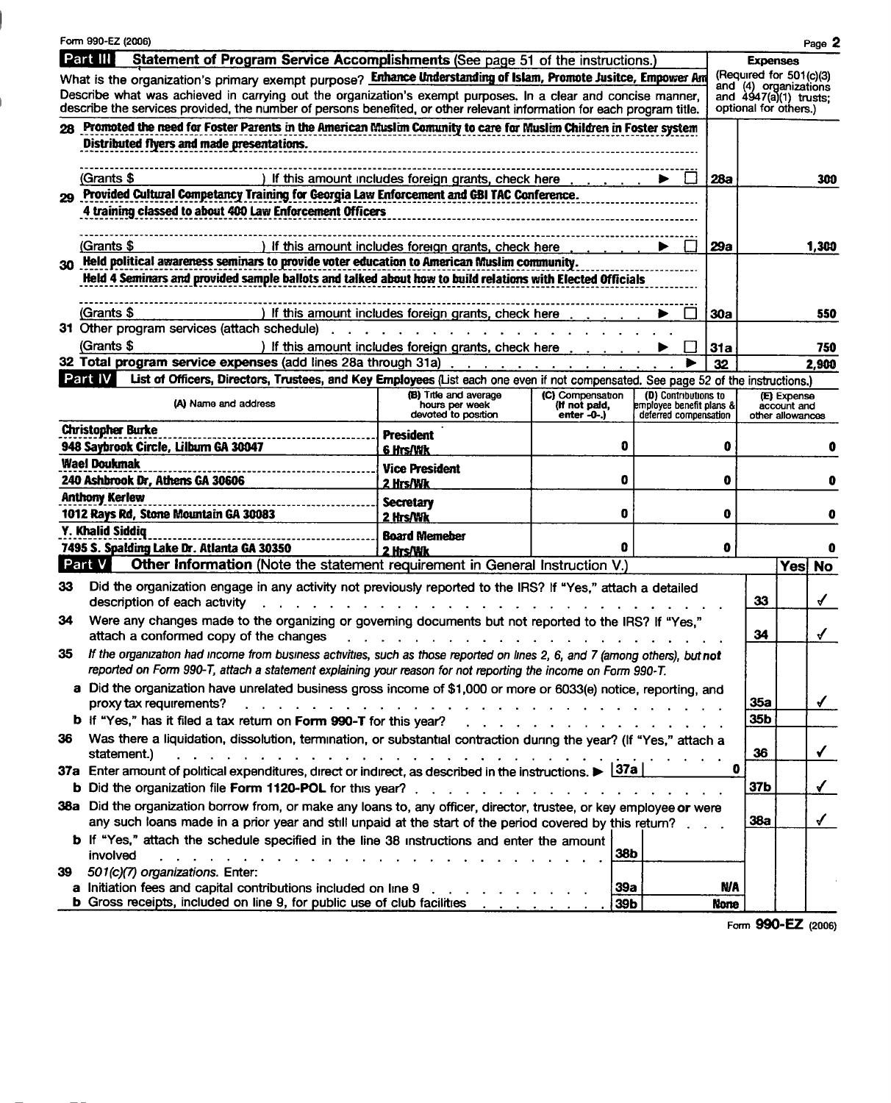|    | Form 990-EZ (2006)                                                                                                                                                                                                                             |                                                      |                                   |                                                  |            |                                                  |                            | Page 2       |
|----|------------------------------------------------------------------------------------------------------------------------------------------------------------------------------------------------------------------------------------------------|------------------------------------------------------|-----------------------------------|--------------------------------------------------|------------|--------------------------------------------------|----------------------------|--------------|
|    | Part III<br>Statement of Program Service Accomplishments (See page 51 of the instructions.)                                                                                                                                                    |                                                      |                                   |                                                  |            | <b>Expenses</b>                                  |                            |              |
|    | What is the organization's primary exempt purpose? Enhance Understanding of Islam, Promote Jusitce, Empower Am                                                                                                                                 |                                                      |                                   |                                                  |            | (Required for 501(c)(3)<br>and (4) organizations |                            |              |
|    | Describe what was achieved in carrying out the organization's exempt purposes. In a clear and concise manner,<br>describe the services provided, the number of persons benefited, or other relevant information for each program title.        |                                                      |                                   |                                                  |            | and 4947(a)(1) trusts;<br>optional for others.)  |                            |              |
|    | 28 Promoted the need for Foster Parents in the American Muslim Comunity to care for Muslim Children in Foster system                                                                                                                           |                                                      |                                   |                                                  |            |                                                  |                            |              |
|    | Distributed flyers and made presentations.                                                                                                                                                                                                     |                                                      |                                   |                                                  |            |                                                  |                            |              |
|    |                                                                                                                                                                                                                                                |                                                      |                                   |                                                  |            |                                                  |                            |              |
|    | (Grants \$<br>) If this amount includes foreign grants, check here<br>$\mathbf{1}$<br>28a                                                                                                                                                      |                                                      |                                   |                                                  |            |                                                  |                            | 300          |
| 29 | Provided Cultural Competancy Training for Georgia Law Enforcement and GBI TAC Conference.                                                                                                                                                      |                                                      |                                   |                                                  |            |                                                  |                            |              |
|    | 4 training classed to about 400 Law Enforcement Officers                                                                                                                                                                                       |                                                      |                                   |                                                  |            |                                                  |                            |              |
|    |                                                                                                                                                                                                                                                |                                                      |                                   |                                                  |            |                                                  |                            |              |
|    | (Grants \$                                                                                                                                                                                                                                     | ) If this amount includes foreign grants, check here |                                   |                                                  | 29а        |                                                  |                            | 1,300        |
|    | 30 Held political awareness seminars to provide voter education to American Muslim community.                                                                                                                                                  |                                                      |                                   |                                                  |            |                                                  |                            |              |
|    | Held 4 Seminars and provided sample ballots and talked about how to build relations with Elected Officials                                                                                                                                     |                                                      |                                   |                                                  |            |                                                  |                            |              |
|    | (Grants \$                                                                                                                                                                                                                                     |                                                      |                                   |                                                  |            |                                                  |                            |              |
|    | 31 Other program services (attach schedule)                                                                                                                                                                                                    | If this amount includes foreign grants, check here   |                                   |                                                  | <b>30a</b> |                                                  |                            | 550          |
|    | (Grants \$                                                                                                                                                                                                                                     | ) If this amount includes foreign grants, check here |                                   |                                                  | 31a        |                                                  |                            | 750          |
|    | 32 Total program service expenses (add lines 28a through 31a)                                                                                                                                                                                  |                                                      |                                   |                                                  | 32         |                                                  |                            | 2.900        |
|    | Part IV<br>List of Officers, Directors, Trustees, and Key Employees (List each one even if not compensated. See page 52 of the instructions.)                                                                                                  |                                                      |                                   |                                                  |            |                                                  |                            |              |
|    | (A) Name and address                                                                                                                                                                                                                           | (B) Title and average<br>hours per week              | (C) Compensation<br>(If not paid, | (D) Contributions to<br>employee benefit plans & |            |                                                  | (E) Expense<br>account and |              |
|    |                                                                                                                                                                                                                                                | devoted to position                                  | enter -0-.)                       | deferred compensation                            |            |                                                  | other allowances           |              |
|    | <b>Christopher Burke</b>                                                                                                                                                                                                                       | President                                            |                                   |                                                  |            |                                                  |                            |              |
|    | 948 Saybrook Circle, Lilburn GA 30047                                                                                                                                                                                                          | 6 Hrs/Wk                                             | 0                                 |                                                  | 0          |                                                  |                            |              |
|    | Wael Doukmak<br>240 Ashbrook Dr, Athens GA 30606                                                                                                                                                                                               | Vice President                                       | 0                                 |                                                  | 0          |                                                  |                            |              |
|    | <b>Anthony Kerlew</b>                                                                                                                                                                                                                          | 2 Hrs/Wk                                             |                                   |                                                  |            |                                                  |                            |              |
|    | 1012 Rays Rd, Stone Mountain GA 30083                                                                                                                                                                                                          | <b>Secretary</b><br>2 Hrs/Wk                         | 0                                 |                                                  | 0          |                                                  |                            |              |
|    | Y. Khalid Siddiq                                                                                                                                                                                                                               | <b>Board Memeber</b>                                 |                                   |                                                  |            |                                                  |                            |              |
|    | 7495 S. Spalding Lake Dr. Atlanta GA 30350                                                                                                                                                                                                     | 2 Hrs/Wk                                             | Ω                                 |                                                  | 0          |                                                  |                            |              |
|    | Part V<br>Other Information (Note the statement requirement in General Instruction V.)                                                                                                                                                         |                                                      |                                   |                                                  |            |                                                  | Yes                        | <b>No</b>    |
| 33 | Did the organization engage in any activity not previously reported to the IRS? If "Yes," attach a detailed                                                                                                                                    |                                                      |                                   |                                                  |            |                                                  |                            |              |
|    | description of each activity                                                                                                                                                                                                                   |                                                      |                                   |                                                  |            | 33                                               |                            | ✔            |
| 34 | Were any changes made to the organizing or governing documents but not reported to the IRS? If "Yes,"                                                                                                                                          |                                                      |                                   |                                                  |            |                                                  |                            |              |
|    | attach a conformed copy of the changes                                                                                                                                                                                                         |                                                      |                                   |                                                  |            | 34                                               |                            | ✔            |
| 35 | If the organization had income from business activities, such as those reported on lines 2, 6, and 7 (among others), but not<br>reported on Form 990-T, attach a statement explaining your reason for not reporting the income on Form 990-T.  |                                                      |                                   |                                                  |            |                                                  |                            |              |
|    | a Did the organization have unrelated business gross income of \$1,000 or more or 6033(e) notice, reporting, and                                                                                                                               |                                                      |                                   |                                                  |            |                                                  |                            |              |
|    | proxy tax requirements?                                                                                                                                                                                                                        |                                                      |                                   |                                                  |            | 35a                                              |                            | $\checkmark$ |
|    | b If "Yes," has it filed a tax return on Form 990-T for this year?                                                                                                                                                                             |                                                      |                                   |                                                  |            | 35b                                              |                            |              |
| 36 | Was there a liquidation, dissolution, termination, or substantial contraction during the year? (If "Yes," attach a                                                                                                                             |                                                      |                                   |                                                  |            |                                                  |                            |              |
|    | statement.)<br>وإلى والمناول والمناول والمناول والمناول والمناول والمناول والمناول والمناول والمناول والمناول                                                                                                                                  |                                                      |                                   |                                                  |            | 36                                               |                            | ✓            |
|    | 37a Enter amount of political expenditures, direct or indirect, as described in the instructions. $\triangleright$ 37a                                                                                                                         |                                                      |                                   |                                                  | o          |                                                  |                            |              |
|    |                                                                                                                                                                                                                                                |                                                      |                                   |                                                  |            | 37b                                              |                            | $\checkmark$ |
|    | 38a Did the organization borrow from, or make any loans to, any officer, director, trustee, or key employee or were                                                                                                                            |                                                      |                                   |                                                  |            | 38a                                              |                            | $\checkmark$ |
|    | any such loans made in a prior year and still unpaid at the start of the period covered by this return?                                                                                                                                        |                                                      |                                   |                                                  |            |                                                  |                            |              |
|    | b If "Yes," attach the schedule specified in the line 38 instructions and enter the amount<br>involved<br>$\mathbf{r}$ , $\mathbf{r}$ , $\mathbf{r}$ , $\mathbf{r}$ , $\mathbf{r}$ , $\mathbf{r}$ , $\mathbf{r}$ , $\mathbf{r}$ , $\mathbf{r}$ |                                                      | 38b                               |                                                  |            |                                                  |                            |              |
| 39 | 501(c)(7) organizations. Enter:                                                                                                                                                                                                                |                                                      |                                   |                                                  |            |                                                  |                            |              |
|    | a Initiation fees and capital contributions included on line 9 rating and capital contributions included on line 9 rating and capital contributions included on line 9 rating and capital contributions of the United States o                 |                                                      | 39a                               |                                                  | <b>N/A</b> |                                                  |                            |              |
|    | <b>b</b> Gross receipts, included on line 9, for public use of club facilities                                                                                                                                                                 | the contract of the contract of the                  | 39b                               |                                                  | None       |                                                  |                            |              |

Form 990-EZ (2006)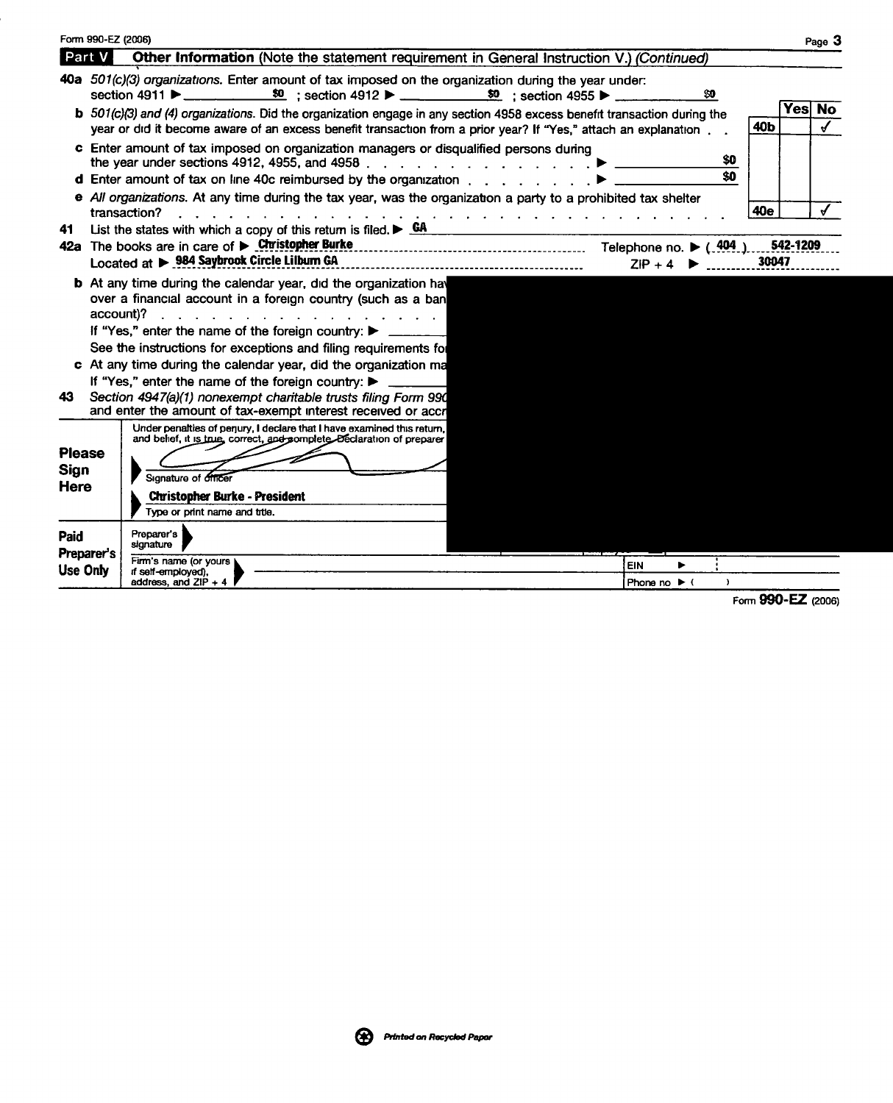|                                                            | Form 990-EZ (2006) |                                                                                                                                                                                                                                                                                                                                                                                                                |       |          | Page 3     |
|------------------------------------------------------------|--------------------|----------------------------------------------------------------------------------------------------------------------------------------------------------------------------------------------------------------------------------------------------------------------------------------------------------------------------------------------------------------------------------------------------------------|-------|----------|------------|
| Part V                                                     |                    | Other Information (Note the statement requirement in General Instruction V.) (Continued)                                                                                                                                                                                                                                                                                                                       |       |          |            |
|                                                            |                    | 40a 501(c)(3) organizations. Enter amount of tax imposed on the organization during the year under:<br>section 4911 ▶ ____________ \$0 ; section 4912 ▶ ___________ \$0 ; section 4955 ▶ _______<br>80                                                                                                                                                                                                         |       |          |            |
|                                                            |                    | b 501(c)(3) and (4) organizations. Did the organization engage in any section 4958 excess benefit transaction during the<br>year or did it become aware of an excess benefit transaction from a prior year? If "Yes," attach an explanation                                                                                                                                                                    | 40b   | Yesl No  | $\epsilon$ |
|                                                            |                    | c Enter amount of tax imposed on organization managers or disqualified persons during<br>\$O                                                                                                                                                                                                                                                                                                                   |       |          |            |
|                                                            |                    | \$0<br><b>d</b> Enter amount of tax on line 40c reimbursed by the organization $\ldots$ , $\ldots$ , $\blacktriangleright$                                                                                                                                                                                                                                                                                     |       |          |            |
|                                                            |                    | e All organizations. At any time during the tax year, was the organization a party to a prohibited tax shelter<br>transaction?<br>$\mathbf{r}$ and $\mathbf{r}$ and $\mathbf{r}$ and $\mathbf{r}$                                                                                                                                                                                                              | 40e   |          |            |
| 41                                                         |                    | List the states with which a copy of this return is filed. $\triangleright$ GA                                                                                                                                                                                                                                                                                                                                 |       |          |            |
|                                                            |                    | 42a The books are in care of $\triangleright$ Christopher Burke<br>Telephone no. $\blacktriangleright$ (.404.)                                                                                                                                                                                                                                                                                                 |       | 542-1209 |            |
|                                                            |                    | Located at > 984 Saybrook Circle Lilburn GA<br>$ZIP + 4$                                                                                                                                                                                                                                                                                                                                                       | 30047 |          |            |
|                                                            | account)?          | <b>b</b> At any time during the calendar year, did the organization have<br>over a financial account in a foreign country (such as a ban<br>If "Yes," enter the name of the foreign country: ▶<br>See the instructions for exceptions and filing requirements for<br>c At any time during the calendar year, did the organization ma<br>If "Yes," enter the name of the foreign country: $\blacktriangleright$ |       |          |            |
| 43.                                                        |                    | Section 4947(a)(1) nonexempt charitable trusts filing Form 990<br>and enter the amount of tax-exempt interest received or accr                                                                                                                                                                                                                                                                                 |       |          |            |
| <b>Please</b><br><b>Sign</b><br><b>Here</b><br><b>Paid</b> |                    | Under penalties of perjury, I declare that I have examined this return,<br>and belief, it is true, correct, and complete. Beclaration of preparer<br>Signature of officer<br><b>Christopher Burke - President</b><br>Type or print name and title.<br>Preparer's                                                                                                                                               |       |          |            |
| <b>Preparer's</b><br>Use Only                              |                    | signature<br>Firm's name (or yours )<br><b>EIN</b><br>if self-employed).<br>address, and $ZIP + 4$<br>Phone no $\blacktriangleright$ (<br>$\rightarrow$                                                                                                                                                                                                                                                        |       |          |            |
|                                                            |                    |                                                                                                                                                                                                                                                                                                                                                                                                                |       |          |            |

Form 990-EZ (2006)

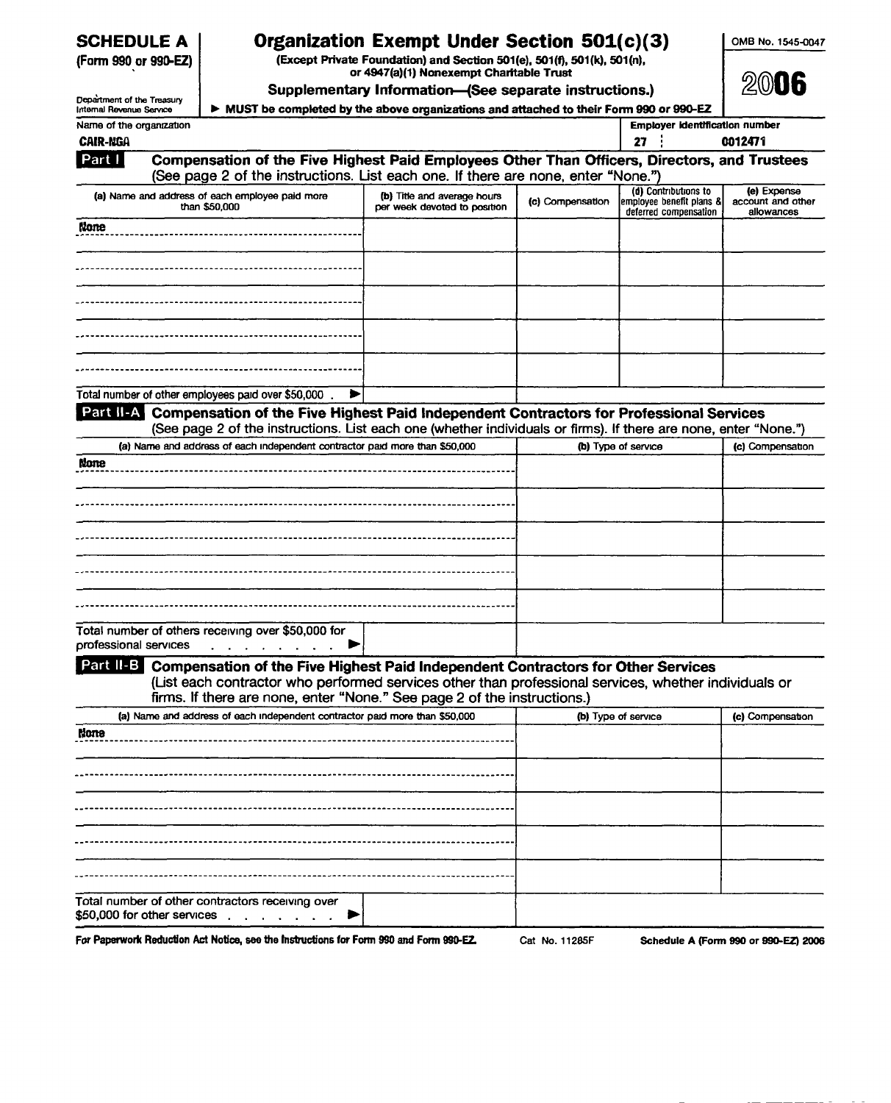| <b>SCHEDULE A</b> |  |
|-------------------|--|
|-------------------|--|

# SCHEDULE A | Organization Exempt Under Section 501(c)(3)

(Form 990 or 990-EZ) (Except Private Foundation) and Section 501(e), 501(f), 501(k), 501(n), or 4947(a)(1) Nonexempt Charitable Trust

OMB No. 1545-0047

| Department of the Treasury                  |                                                                                                                                                                                   | Supplementary Information-(See separate instructions.)                                  |                  |                                                                           | 2006                                           |
|---------------------------------------------|-----------------------------------------------------------------------------------------------------------------------------------------------------------------------------------|-----------------------------------------------------------------------------------------|------------------|---------------------------------------------------------------------------|------------------------------------------------|
| Internal Revenue Service                    |                                                                                                                                                                                   | > MUST be completed by the above organizations and attached to their Form 990 or 990-EZ |                  |                                                                           |                                                |
| Name of the organization<br><b>CAIR-NGA</b> |                                                                                                                                                                                   |                                                                                         |                  | <b>Employer identification number</b><br>27                               | 0012471                                        |
| Part I                                      | Compensation of the Five Highest Paid Employees Other Than Officers, Directors, and Trustees<br>(See page 2 of the instructions. List each one. If there are none, enter "None.") |                                                                                         |                  |                                                                           |                                                |
|                                             | (a) Name and address of each employee paid more<br>than \$50,000                                                                                                                  | (b) Title and average hours<br>per week devoted to position                             | (c) Compensation | (d) Contributions to<br>employee benefit plans &<br>deferred compensation | (e) Expense<br>account and other<br>allowances |
| <b>None</b>                                 | ----------------------------------                                                                                                                                                |                                                                                         |                  |                                                                           |                                                |
|                                             |                                                                                                                                                                                   |                                                                                         |                  |                                                                           |                                                |
|                                             |                                                                                                                                                                                   |                                                                                         |                  |                                                                           |                                                |
|                                             |                                                                                                                                                                                   |                                                                                         |                  |                                                                           |                                                |
|                                             |                                                                                                                                                                                   |                                                                                         |                  |                                                                           |                                                |
|                                             | Total number of other employees paid over \$50,000.                                                                                                                               |                                                                                         |                  |                                                                           |                                                |
|                                             | Part II-A Compensation of the Five Highest Paid Independent Contractors for Professional Services                                                                                 |                                                                                         |                  |                                                                           |                                                |
|                                             | (See page 2 of the instructions. List each one (whether individuals or firms). If there are none, enter "None.")                                                                  |                                                                                         |                  |                                                                           |                                                |
|                                             | (a) Name and address of each independent contractor paid more than \$50,000                                                                                                       |                                                                                         |                  | (b) Type of service                                                       | (c) Compensation                               |
|                                             |                                                                                                                                                                                   |                                                                                         |                  |                                                                           |                                                |
|                                             |                                                                                                                                                                                   |                                                                                         |                  |                                                                           |                                                |
|                                             |                                                                                                                                                                                   |                                                                                         |                  |                                                                           |                                                |
|                                             |                                                                                                                                                                                   |                                                                                         |                  |                                                                           |                                                |
|                                             |                                                                                                                                                                                   |                                                                                         |                  |                                                                           |                                                |
|                                             |                                                                                                                                                                                   |                                                                                         |                  |                                                                           |                                                |
|                                             |                                                                                                                                                                                   |                                                                                         |                  |                                                                           |                                                |
|                                             |                                                                                                                                                                                   |                                                                                         |                  |                                                                           |                                                |
|                                             |                                                                                                                                                                                   |                                                                                         |                  |                                                                           |                                                |
|                                             |                                                                                                                                                                                   |                                                                                         |                  |                                                                           |                                                |
|                                             | Total number of others receiving over \$50,000 for                                                                                                                                |                                                                                         |                  |                                                                           |                                                |
| None<br>professional services               | $\mathcal{A}$ . The set of the set of the set of $\mathcal{A}$<br>▶                                                                                                               |                                                                                         |                  |                                                                           |                                                |
|                                             | Part II-B Compensation of the Five Highest Paid Independent Contractors for Other Services                                                                                        |                                                                                         |                  |                                                                           |                                                |
|                                             | (List each contractor who performed services other than professional services, whether individuals or                                                                             |                                                                                         |                  |                                                                           |                                                |
|                                             | firms. If there are none, enter "None." See page 2 of the instructions.)                                                                                                          |                                                                                         |                  |                                                                           |                                                |
|                                             | (a) Name and address of each independent contractor paid more than \$50,000                                                                                                       |                                                                                         |                  | (b) Type of service                                                       | (c) Compensation                               |
|                                             |                                                                                                                                                                                   |                                                                                         |                  |                                                                           |                                                |
|                                             |                                                                                                                                                                                   |                                                                                         |                  |                                                                           |                                                |
|                                             |                                                                                                                                                                                   |                                                                                         |                  |                                                                           |                                                |
|                                             |                                                                                                                                                                                   |                                                                                         |                  |                                                                           |                                                |
|                                             |                                                                                                                                                                                   |                                                                                         |                  |                                                                           |                                                |
|                                             |                                                                                                                                                                                   |                                                                                         |                  |                                                                           |                                                |
| None                                        |                                                                                                                                                                                   |                                                                                         |                  |                                                                           |                                                |
|                                             |                                                                                                                                                                                   |                                                                                         |                  |                                                                           |                                                |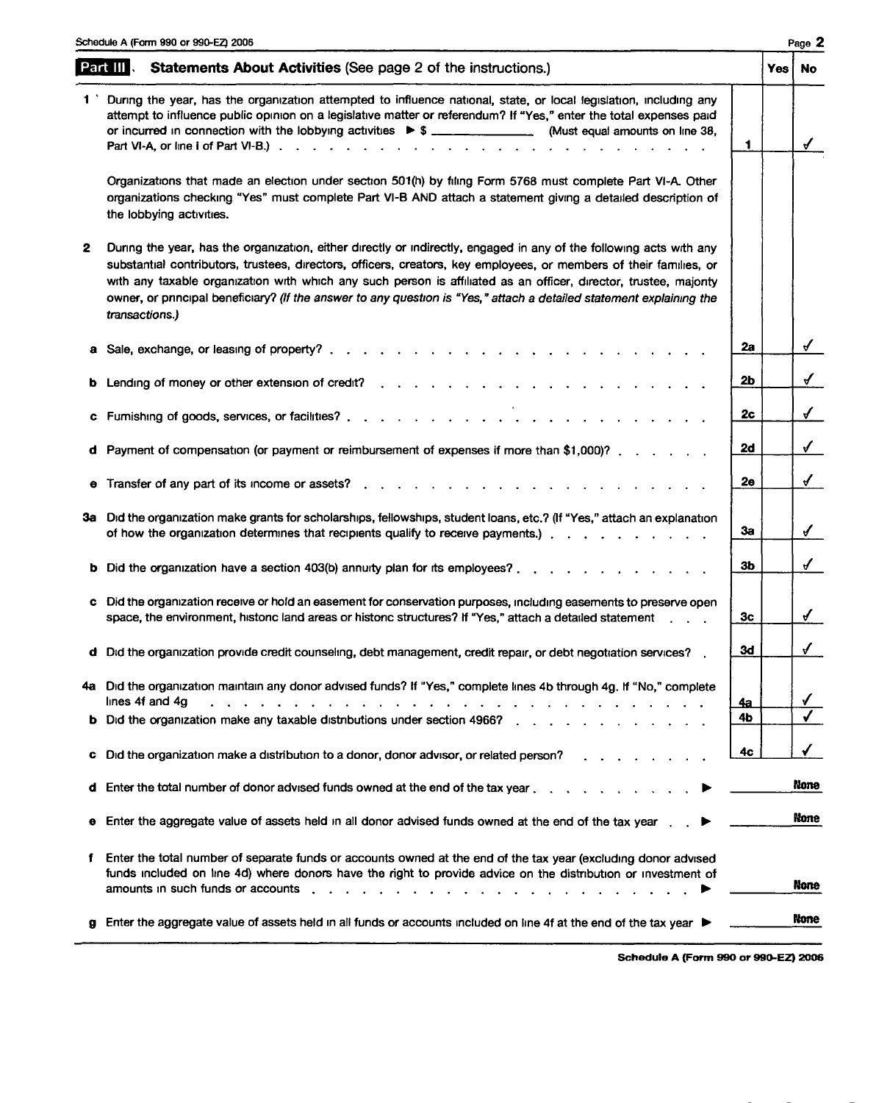|   | Schedule A (Form 990 or 990-EZ) 2006                                                                                                                                                                                                                                                                                                                                                                                                                                                                    |           |       | Page 2                  |
|---|---------------------------------------------------------------------------------------------------------------------------------------------------------------------------------------------------------------------------------------------------------------------------------------------------------------------------------------------------------------------------------------------------------------------------------------------------------------------------------------------------------|-----------|-------|-------------------------|
|   | <b>Statements About Activities (See page 2 of the instructions.)</b><br>Part III                                                                                                                                                                                                                                                                                                                                                                                                                        |           | Yes i | No.                     |
|   | During the year, has the organization attempted to influence national, state, or local legislation, including any<br>attempt to influence public opinion on a legislative matter or referendum? If "Yes," enter the total expenses paid<br>or incurred in connection with the lobbying activities $\triangleright$ \$ ______________________. (Must equal amounts on line 38,                                                                                                                           | 1         |       | $\checkmark$            |
|   | Organizations that made an election under section 501(h) by filing Form 5768 must complete Part VI-A. Other<br>organizations checking "Yes" must complete Part VI-B AND attach a statement giving a detailed description of<br>the lobbying activities.                                                                                                                                                                                                                                                 |           |       |                         |
| 2 | During the year, has the organization, either directly or indirectly, engaged in any of the following acts with any<br>substantial contributors, trustees, directors, officers, creators, key employees, or members of their families, or<br>with any taxable organization with which any such person is affiliated as an officer, director, trustee, majority<br>owner, or pnncipal beneficiary? (If the answer to any question is "Yes," attach a detailed statement explaining the<br>transactions.) |           |       |                         |
|   | <u>.</u><br>2012 - Leo Alexandria, amerikana menganjaran pertama pertama pertama pertama pertama pertama pertama pertama per<br>a Sale, exchange, or leasing of property?.                                                                                                                                                                                                                                                                                                                              | 2a        |       | $\checkmark$            |
|   |                                                                                                                                                                                                                                                                                                                                                                                                                                                                                                         | 2b        |       | $\checkmark$            |
| c |                                                                                                                                                                                                                                                                                                                                                                                                                                                                                                         | 2c        |       | $\checkmark$            |
|   | <b>d</b> Payment of compensation (or payment or reimbursement of expenses if more than \$1,000)? $\ldots$                                                                                                                                                                                                                                                                                                                                                                                               | 2d        |       | $\checkmark$            |
|   | e Transfer of any part of its income or assets?.                                                                                                                                                                                                                                                                                                                                                                                                                                                        | 2ө        |       | $\checkmark$            |
|   | 3a Did the organization make grants for scholarships, fellowships, student loans, etc.? (If "Yes," attach an explanation<br>of how the organization determines that recipients qualify to receive payments.)                                                                                                                                                                                                                                                                                            | 3a        |       | $\mathcal{J}$           |
|   |                                                                                                                                                                                                                                                                                                                                                                                                                                                                                                         | 3b        |       | $\checkmark$            |
|   | c Did the organization receive or hold an easement for conservation purposes, including easements to preserve open<br>space, the environment, histonc land areas or histonc structures? If "Yes," attach a detailed statement [10, 10, 10]                                                                                                                                                                                                                                                              | Зс        |       | $\checkmark$            |
|   | d Did the organization provide credit counseling, debt management, credit repair, or debt negotiation services?                                                                                                                                                                                                                                                                                                                                                                                         | 3d        |       | $\checkmark$            |
|   | 4a Did the organization maintain any donor advised funds? If "Yes," complete lines 4b through 4g. If "No," complete<br>lines 4f and 4g<br>. The contract of the contract of the contract of the contract of the contract of the contract of the contract of the contract of the contract of the contract of the contract of the contract of the contract of the contrac                                                                                                                                 | <u>4a</u> |       | $\sqrt{ }$              |
|   | <b>b</b> Did the organization make any taxable distributions under section 4966?                                                                                                                                                                                                                                                                                                                                                                                                                        | 4Ь        |       | $\overline{\checkmark}$ |
|   | c Did the organization make a distribution to a donor, donor advisor, or related person?                                                                                                                                                                                                                                                                                                                                                                                                                | 4c        |       | ✓                       |
|   | <b>d</b> Enter the total number of donor advised funds owned at the end of the tax year $\ldots$ ,                                                                                                                                                                                                                                                                                                                                                                                                      |           |       | None                    |
|   | e Enter the aggregate value of assets held in all donor advised funds owned at the end of the tax year.                                                                                                                                                                                                                                                                                                                                                                                                 |           |       | None                    |
| f | Enter the total number of separate funds or accounts owned at the end of the tax year (excluding donor advised<br>funds included on line 4d) where donors have the right to provide advice on the distribution or investment of                                                                                                                                                                                                                                                                         |           |       | None                    |
|   | g Enter the aggregate value of assets held in all funds or accounts included on line 4f at the end of the tax year ▶                                                                                                                                                                                                                                                                                                                                                                                    |           |       | None                    |
|   |                                                                                                                                                                                                                                                                                                                                                                                                                                                                                                         |           |       |                         |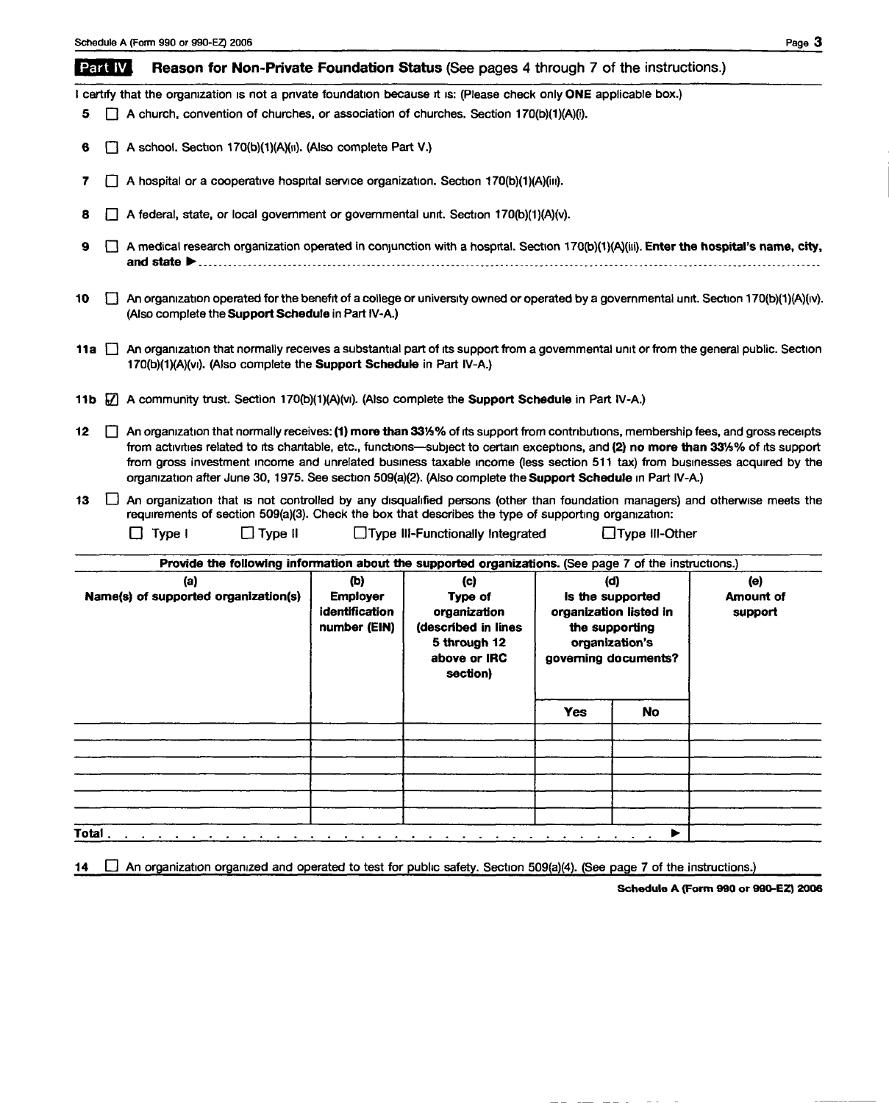#### **Part IV** Reason for Non-Private Foundation Status (See pages 4 through 7 of the instructions.)

I certify that the organization is not a private foundation because it is: (Please check only ONE applicable box.)

- 5  $\Box$  A church, convention of churches, or association of churches. Section 170(b)(1)(A)(i).
- 6  $\Box$  A school. Section 170(b)(1)(A)(ii). (Also complete Part V.)
- 7  $\Box$  A hospital or a cooperative hospital service organization. Section 170(b)(1)(A)(iii).
- 8  $\Box$  A federal, state, or local government or governmental unit. Section 170(b)(1)(A)(v).
- 9  $\Box$  A medical research organization operated in conjunction with a hospital. Section 170(b)(1)(A)(iii). Enter the hospital's name, city, and state ...............................................................................................................................
- 10 **q** An organization operated for the benefit of a college or university owned or operated by a governmental unit. Section 170(b)(1)(A)(iv). (Also complete the Support Schedule in Part IV-A.)
- 11a  $\Box$  An organization that normally receives a substantial part of its support from a governmental unit or from the general public. Section 170(b)(1)(A)(vi). (Also complete the Support Schedule in Part IV-A.)
- 11b  $\Box$  A community trust. Section 170(b)(1)(A)(vi). (Also complete the Support Schedule in Part IV-A.)
- 12 [7] An organization that normally receives: (1) more than 33% % of its support from contributions, membership fees, and gross receipts from activities related to its charitable, etc., functions-subject to certain exceptions, and (2) no more than 331/3% of its support from gross investment income and unrelated business taxable income (less section 511 tax) from businesses acquired by the organization after June 30, 1975. See section 509(a)(2). (Also complete the Support Schedule in Part IV-A.)
- 13  $\Box$  An organization that is not controlled by any disqualified persons (other than foundation managers) and otherwise meets the requirements of section 509(a)(3). Check the box that describes the type of supporting organization:

 $\Box$  Type II  $\Box$  Type III  $\Box$  Type III-Functionally Integrated  $\Box$  Type III-Other

| Provide the following information about the supported organizations. (See page 7 of the instructions.) |                                                 |                                                                 |                                                          |                                    |  |
|--------------------------------------------------------------------------------------------------------|-------------------------------------------------|-----------------------------------------------------------------|----------------------------------------------------------|------------------------------------|--|
| (a)<br>Name(s) of supported organization(s)                                                            | (b)<br><b>Employer</b><br><b>identification</b> | (c)<br>Type of<br>organization                                  | (d)<br>is the supported<br>organization listed in        | (e)<br><b>Amount of</b><br>support |  |
|                                                                                                        | number (EIN)                                    | (described in lines<br>5 through 12<br>above or IRC<br>section) | the supporting<br>organization's<br>governing documents? |                                    |  |
|                                                                                                        |                                                 |                                                                 | <b>Yes</b>                                               | <b>No</b>                          |  |
|                                                                                                        |                                                 |                                                                 |                                                          |                                    |  |
|                                                                                                        |                                                 |                                                                 |                                                          |                                    |  |
|                                                                                                        |                                                 |                                                                 |                                                          |                                    |  |
|                                                                                                        |                                                 |                                                                 |                                                          |                                    |  |
| Total                                                                                                  |                                                 |                                                                 |                                                          | ▶                                  |  |

14  $\Box$  An organization organized and operated to test for public safety. Section 509(a)(4). (See page 7 of the instructions.)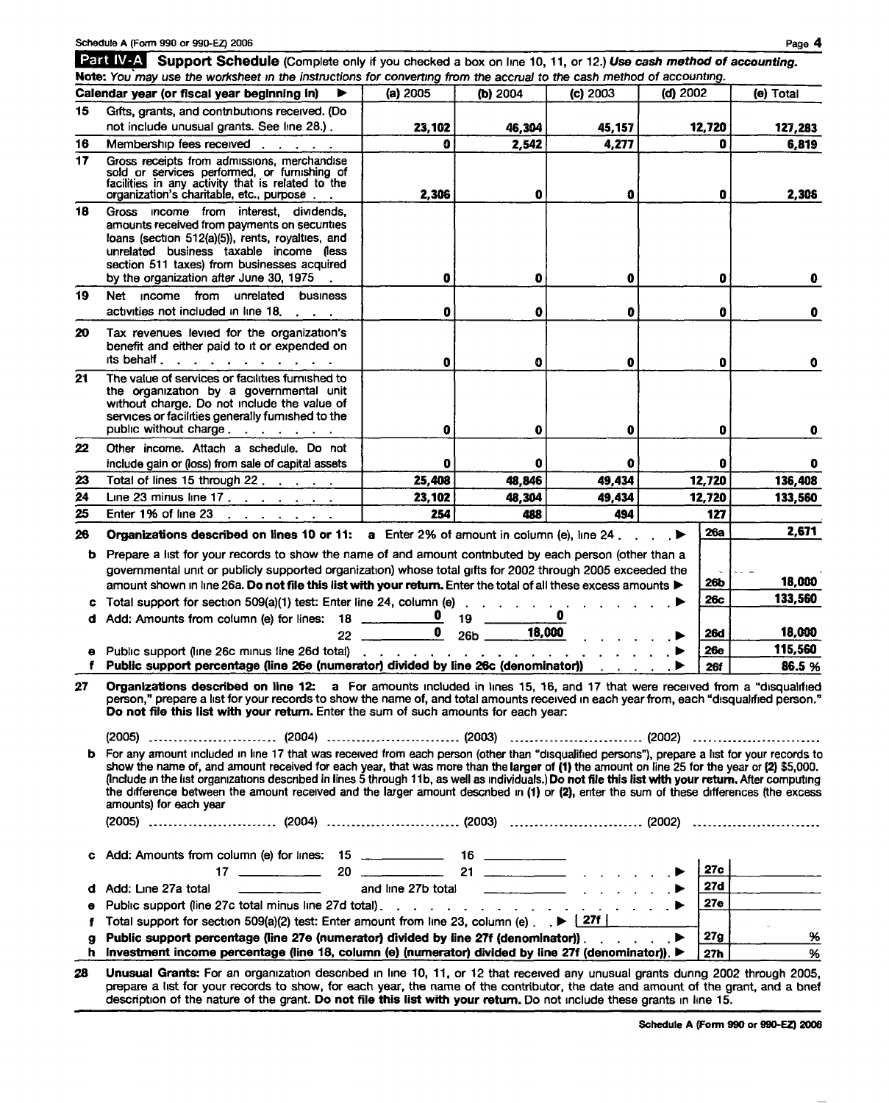| Schedule A (Form 990 or 990-EZ) 2006 |  |  |  |
|--------------------------------------|--|--|--|
|                                      |  |  |  |

Schedule A (Form 990 or 990-EZ) 2006 Page 4 Page 4 Page 4 Page 4 Page 4 Page 4 Page 4 Page 4 Page 4 Page 4 Page 4 Schedule A (Form 990 or 990-EZ) 2006<br>
Part IV-A Support Schedule (Complete only if you checked a box on line 10, 11, or 12.) Use cash method of accounting.

| 15     | Calendar year (or fiscal year beginning in)<br>▶                                                                                                                                                                                                                                                                                                                                                                                                                                                                                                                                                                                                                                                                                                                                                                                                                                                                                                                                                | (a) 2005           | (b) 2004   | (c) 2003                                                                                          | Note: You may use the worksheet in the instructions for converting from the accrual to the cash method of accounting.<br>$(d)$ 2002 | (e) Total                              |
|--------|-------------------------------------------------------------------------------------------------------------------------------------------------------------------------------------------------------------------------------------------------------------------------------------------------------------------------------------------------------------------------------------------------------------------------------------------------------------------------------------------------------------------------------------------------------------------------------------------------------------------------------------------------------------------------------------------------------------------------------------------------------------------------------------------------------------------------------------------------------------------------------------------------------------------------------------------------------------------------------------------------|--------------------|------------|---------------------------------------------------------------------------------------------------|-------------------------------------------------------------------------------------------------------------------------------------|----------------------------------------|
|        | Gifts, grants, and contributions received. (Do                                                                                                                                                                                                                                                                                                                                                                                                                                                                                                                                                                                                                                                                                                                                                                                                                                                                                                                                                  |                    |            |                                                                                                   |                                                                                                                                     |                                        |
|        | not include unusual grants. See line 28.).                                                                                                                                                                                                                                                                                                                                                                                                                                                                                                                                                                                                                                                                                                                                                                                                                                                                                                                                                      | 23,102             | 46,304     | 45,157                                                                                            | 12,720                                                                                                                              | 127,283                                |
| 16     | Membership fees received                                                                                                                                                                                                                                                                                                                                                                                                                                                                                                                                                                                                                                                                                                                                                                                                                                                                                                                                                                        | 0                  | 2,542      | 4,277                                                                                             | 0                                                                                                                                   | 6,819                                  |
| 17     | Gross receipts from admissions, merchandise<br>sold or services performed, or furnishing of<br>facilities in any activity that is related to the<br>organization's charitable, etc., purpose                                                                                                                                                                                                                                                                                                                                                                                                                                                                                                                                                                                                                                                                                                                                                                                                    | 2,306              | 0          | 0                                                                                                 | 0                                                                                                                                   | 2,306                                  |
| 18     | Gross income from interest, dividends,<br>amounts received from payments on securities<br>loans (section 512(a)(5)), rents, royalties, and<br>unrelated business taxable income (less<br>section 511 taxes) from businesses acquired<br>by the organization after June 30, 1975                                                                                                                                                                                                                                                                                                                                                                                                                                                                                                                                                                                                                                                                                                                 | 0                  | Đ          | 0                                                                                                 | 0                                                                                                                                   |                                        |
| 19     | Net<br>income from unrelated<br>business<br>activities not included in line 18.                                                                                                                                                                                                                                                                                                                                                                                                                                                                                                                                                                                                                                                                                                                                                                                                                                                                                                                 | 0                  | O          | 0                                                                                                 | 0                                                                                                                                   | 0                                      |
| 20     | Tax revenues levied for the organization's<br>benefit and either paid to it or expended on<br>its behalf.<br>and a state of the contract of the                                                                                                                                                                                                                                                                                                                                                                                                                                                                                                                                                                                                                                                                                                                                                                                                                                                 |                    |            |                                                                                                   |                                                                                                                                     |                                        |
| 21     | The value of services or facilities furnished to<br>the organization by a governmental unit<br>without charge. Do not include the value of<br>services or facilities generally furnished to the<br>public without charge                                                                                                                                                                                                                                                                                                                                                                                                                                                                                                                                                                                                                                                                                                                                                                        | 0<br>0             | 0<br>0     | 0<br>0                                                                                            | 0<br>0                                                                                                                              | O                                      |
| 22     | Other income. Attach a schedule. Do not<br>include gain or (loss) from sale of capital assets                                                                                                                                                                                                                                                                                                                                                                                                                                                                                                                                                                                                                                                                                                                                                                                                                                                                                                   | 0                  | 0          | 0                                                                                                 | 0                                                                                                                                   |                                        |
| 23     | Total of lines 15 through 22.                                                                                                                                                                                                                                                                                                                                                                                                                                                                                                                                                                                                                                                                                                                                                                                                                                                                                                                                                                   | 25,408             | 48,846     | 49,434                                                                                            | 12,720                                                                                                                              | 136,408                                |
| 24     | Line 23 minus line 17 $\ldots$ $\ldots$ $\ldots$                                                                                                                                                                                                                                                                                                                                                                                                                                                                                                                                                                                                                                                                                                                                                                                                                                                                                                                                                | 23,102             | 48,304     | 49,434                                                                                            | 12,720                                                                                                                              | 133,560                                |
| 25     | Enter 1% of line 23                                                                                                                                                                                                                                                                                                                                                                                                                                                                                                                                                                                                                                                                                                                                                                                                                                                                                                                                                                             | 254                | 488        | 494                                                                                               | 127                                                                                                                                 |                                        |
| 26     | and a strain and a strain and<br>Organizations described on lines 10 or 11: a Enter 2% of amount in column (e), line 24.                                                                                                                                                                                                                                                                                                                                                                                                                                                                                                                                                                                                                                                                                                                                                                                                                                                                        |                    |            |                                                                                                   | 26a<br>$\overline{\phantom{a}}$                                                                                                     | 2,671                                  |
|        | <b>b</b> Prepare a list for your records to show the name of and amount contributed by each person (other than a<br>governmental unit or publicly supported organization) whose total gifts for 2002 through 2005 exceeded the                                                                                                                                                                                                                                                                                                                                                                                                                                                                                                                                                                                                                                                                                                                                                                  |                    |            |                                                                                                   |                                                                                                                                     | 18,000                                 |
|        | amount shown in line 26a. Do not file this list with your return. Enter the total of all these excess amounts $\blacktriangleright$                                                                                                                                                                                                                                                                                                                                                                                                                                                                                                                                                                                                                                                                                                                                                                                                                                                             |                    |            |                                                                                                   | 26b                                                                                                                                 |                                        |
|        |                                                                                                                                                                                                                                                                                                                                                                                                                                                                                                                                                                                                                                                                                                                                                                                                                                                                                                                                                                                                 |                    |            |                                                                                                   |                                                                                                                                     |                                        |
| c      | Total support for section 509(a)(1) test: Enter line 24, column (e) .                                                                                                                                                                                                                                                                                                                                                                                                                                                                                                                                                                                                                                                                                                                                                                                                                                                                                                                           |                    |            | $\begin{array}{cccccccccccccccccc} . & . & . & . & . & . & . & . & . & . & . & . & . \end{array}$ | 26с                                                                                                                                 |                                        |
|        |                                                                                                                                                                                                                                                                                                                                                                                                                                                                                                                                                                                                                                                                                                                                                                                                                                                                                                                                                                                                 |                    |            |                                                                                                   | <b>26d</b>                                                                                                                          |                                        |
| θ      |                                                                                                                                                                                                                                                                                                                                                                                                                                                                                                                                                                                                                                                                                                                                                                                                                                                                                                                                                                                                 | $\mathbf{0}$<br>22 | 26b 18,000 |                                                                                                   | <b>26e</b>                                                                                                                          |                                        |
| f      | Public support (line 26c minus line 26d total)<br>Public support percentage (line 26e (numerator) divided by line 26c (denominator))                                                                                                                                                                                                                                                                                                                                                                                                                                                                                                                                                                                                                                                                                                                                                                                                                                                            |                    |            |                                                                                                   | <b>261</b>                                                                                                                          |                                        |
| 27     | Organizations described on line 12: a For amounts included in lines 15, 16, and 17 that were received from a "disqualified<br>person," prepare a list for your records to show the name of, and total amounts received in each year from, each "disqualified person."<br>Do not file this list with your return. Enter the sum of such amounts for each year:<br>b For any amount included in line 17 that was received from each person (other than "disqualified persons"), prepare a list for your records to<br>show the name of, and amount received for each year, that was more than the larger of (1) the amount on line 25 for the year or (2) \$5,000.<br>(Include in the list organizations described in lines 5 through 11b, as well as individuals.) Do not file this list with your return. After computing<br>the difference between the amount received and the larger amount described in (1) or (2), enter the sum of these differences (the excess<br>amounts) for each year |                    |            |                                                                                                   |                                                                                                                                     |                                        |
| c      | Add: Amounts from column (e) for lines: 15 ______________ 16 ___________                                                                                                                                                                                                                                                                                                                                                                                                                                                                                                                                                                                                                                                                                                                                                                                                                                                                                                                        |                    |            |                                                                                                   |                                                                                                                                     | 18,000                                 |
|        | 17 $\frac{1}{20}$ 20 $\frac{21}{21}$ 21 $\frac{1}{20}$ $\frac{1}{20}$ $\frac{1}{20}$                                                                                                                                                                                                                                                                                                                                                                                                                                                                                                                                                                                                                                                                                                                                                                                                                                                                                                            |                    |            |                                                                                                   | 27c                                                                                                                                 |                                        |
| d      | and line 27b total <u>example and the 27b</u> total and the 27b total and the set of the set of the set of the set of the set of the set of the set of the set of the set of the set of the set of the set of the set of the set of<br>Add: Line 27a total                                                                                                                                                                                                                                                                                                                                                                                                                                                                                                                                                                                                                                                                                                                                      |                    |            |                                                                                                   | 27d                                                                                                                                 |                                        |
| θ      |                                                                                                                                                                                                                                                                                                                                                                                                                                                                                                                                                                                                                                                                                                                                                                                                                                                                                                                                                                                                 |                    |            |                                                                                                   | 27e                                                                                                                                 |                                        |
| f      | Total support for section 509(a)(2) test: Enter amount from line 23, column (e) $\overrightarrow{P}$ $\overrightarrow{27}$                                                                                                                                                                                                                                                                                                                                                                                                                                                                                                                                                                                                                                                                                                                                                                                                                                                                      |                    |            |                                                                                                   |                                                                                                                                     |                                        |
| g<br>h | Public support percentage (line 27e (numerator) divided by line 27f (denominator)) $\ldots$ $\ldots$<br>Investment income percentage (line 18, column (e) (numerator) divided by line 27f (denominator)). ▶                                                                                                                                                                                                                                                                                                                                                                                                                                                                                                                                                                                                                                                                                                                                                                                     |                    |            |                                                                                                   | 27g<br>27h                                                                                                                          | 133,560<br>115,560<br>86.5 %<br>%<br>% |

description of the nature of the grant. Do not file this list with your return. Do not include these grants in line 15.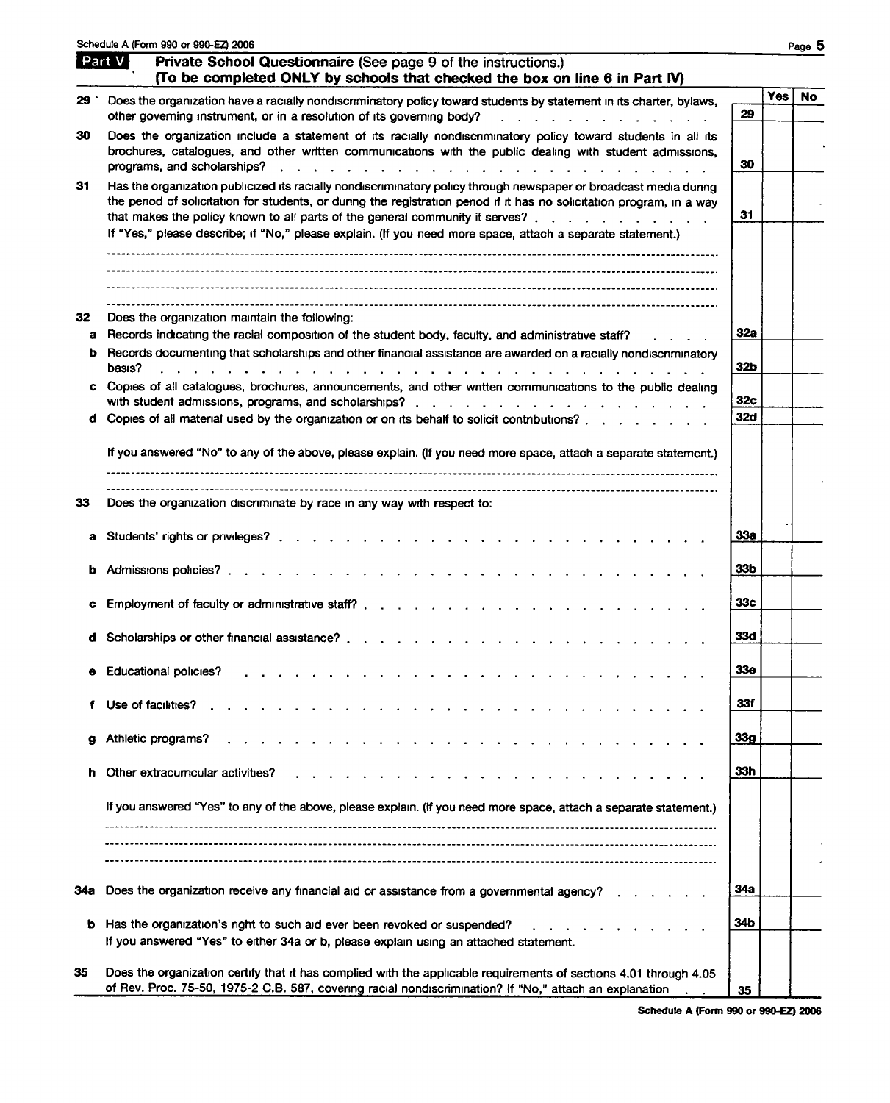|         | Schedule A (Form 990 or 990-EZ) 2006                                                                                                                                                                                                                                                                                                                                                                                                                                                      |                 |            | Page 5    |
|---------|-------------------------------------------------------------------------------------------------------------------------------------------------------------------------------------------------------------------------------------------------------------------------------------------------------------------------------------------------------------------------------------------------------------------------------------------------------------------------------------------|-----------------|------------|-----------|
|         | Part V<br>Private School Questionnaire (See page 9 of the instructions.)<br>(To be completed ONLY by schools that checked the box on line 6 in Part IV)                                                                                                                                                                                                                                                                                                                                   |                 |            |           |
| 29 `    | Does the organization have a racially nondiscriminatory policy toward students by statement in its charter, bylaws,<br>other governing instrument, or in a resolution of its governing body?<br>.                                                                                                                                                                                                                                                                                         | 29              | <b>Yes</b> | <b>No</b> |
| 30      | Does the organization include a statement of its racially nondiscnminatory policy toward students in all its<br>brochures, catalogues, and other written communications with the public dealing with student admissions,<br>programs, and scholarships?<br>a construction of the contract of the construction of the construction of the construction of the construction of the construction of the construction of the construction of the construction of the construction of the cons | 30              |            |           |
| 31      | Has the organization publicized its racially nondiscriminatory policy through newspaper or broadcast media dunng<br>the penod of solicitation for students, or during the registration penod if it has no solicitation program, in a way<br>that makes the policy known to all parts of the general community it serves?                                                                                                                                                                  | 31              |            |           |
|         | If "Yes," please describe; if "No," please explain. (If you need more space, attach a separate statement.)                                                                                                                                                                                                                                                                                                                                                                                |                 |            |           |
|         |                                                                                                                                                                                                                                                                                                                                                                                                                                                                                           |                 |            |           |
| 32<br>a | Does the organization maintain the following:<br>Records indicating the racial composition of the student body, faculty, and administrative staff?                                                                                                                                                                                                                                                                                                                                        | 32a             |            |           |
| b.      | Records documenting that scholarships and other financial assistance are awarded on a racially nondiscriminatory<br>basıs?<br>the contract of the contract of the contract of the contract of the contract of the contract of the contract of                                                                                                                                                                                                                                             | 32b             |            |           |
| c       | Copies of all catalogues, brochures, announcements, and other written communications to the public dealing                                                                                                                                                                                                                                                                                                                                                                                | 32c             |            |           |
|         | d Copies of all material used by the organization or on its behalf to solicit contributions?                                                                                                                                                                                                                                                                                                                                                                                              | 32d             |            |           |
|         | If you answered "No" to any of the above, please explain. (If you need more space, attach a separate statement.)                                                                                                                                                                                                                                                                                                                                                                          |                 |            |           |
| 33      | Does the organization discriminate by race in any way with respect to:                                                                                                                                                                                                                                                                                                                                                                                                                    |                 |            |           |
| a       |                                                                                                                                                                                                                                                                                                                                                                                                                                                                                           | 33a             |            |           |
|         | Admissions policies?                                                                                                                                                                                                                                                                                                                                                                                                                                                                      | 33b             |            |           |
|         | Employment of faculty or administrative staff? $\cdots$ , $\cdots$ , $\cdots$ , $\cdots$ , $\cdots$ , $\cdots$ , $\cdots$                                                                                                                                                                                                                                                                                                                                                                 | 33c             |            |           |
|         | Scholarships or other financial assistance?                                                                                                                                                                                                                                                                                                                                                                                                                                               | 33d             |            |           |
|         | <b>Educational policies?</b><br>the contract of the contract of                                                                                                                                                                                                                                                                                                                                                                                                                           | 33е             |            |           |
| f.      | Use of facilities?                                                                                                                                                                                                                                                                                                                                                                                                                                                                        | 33f             |            |           |
| g       | Athletic programs?                                                                                                                                                                                                                                                                                                                                                                                                                                                                        | 33 <sub>g</sub> |            |           |
|         | Other extracumcular activities?                                                                                                                                                                                                                                                                                                                                                                                                                                                           | 33h             |            |           |
|         | If you answered "Yes" to any of the above, please explain. (If you need more space, attach a separate statement.)                                                                                                                                                                                                                                                                                                                                                                         |                 |            |           |
|         |                                                                                                                                                                                                                                                                                                                                                                                                                                                                                           |                 |            |           |
| 34а     | Does the organization receive any financial aid or assistance from a governmental agency?                                                                                                                                                                                                                                                                                                                                                                                                 | 34a             |            |           |
| b       | Has the organization's right to such aid ever been revoked or suspended?<br>If you answered "Yes" to either 34a or b, please explain using an attached statement.                                                                                                                                                                                                                                                                                                                         | 34b             |            |           |
| 35      | Does the organization certify that it has complied with the applicable requirements of sections 4.01 through 4.05<br>of Rev. Proc. 75-50, 1975-2 C.B. 587, covering racial nondiscrimination? If "No," attach an explanation                                                                                                                                                                                                                                                              | 35              |            |           |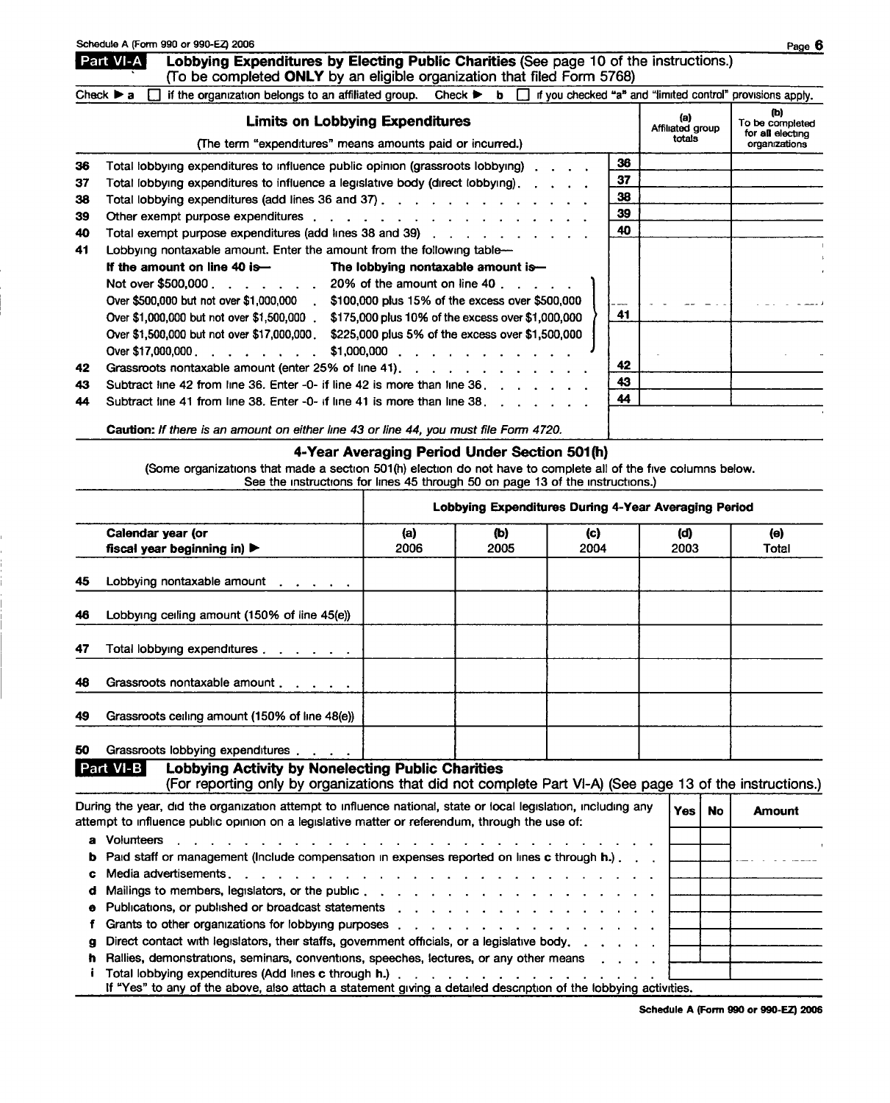#### Part VI-A Lobbying Expenditures by Electing Public Charities (See page 10 of the instructions.) (fo be completed ONLY by an eligible organization that filed Form 5768)

| Check $\triangleright$ a $\square$ if the organization belongs to an affiliated group. Check $\triangleright$ b $\square$ if you checked "a" and "limited control" provisions apply. |  |
|--------------------------------------------------------------------------------------------------------------------------------------------------------------------------------------|--|
|                                                                                                                                                                                      |  |

|    | <b>Limits on Lobbying Expenditures</b><br>(The term "expenditures" means amounts paid or incurred.)                                                                                                                           |    | (a)<br>Affiliated group<br>totals | (b)<br>To be completed<br>for all electing<br>organizations |
|----|-------------------------------------------------------------------------------------------------------------------------------------------------------------------------------------------------------------------------------|----|-----------------------------------|-------------------------------------------------------------|
| 36 | Total lobbying expenditures to influence public opinion (grassroots lobbying)                                                                                                                                                 | 36 |                                   |                                                             |
| 37 | Total lobbying expenditures to influence a legislative body (direct lobbying), c. c. c.                                                                                                                                       | 37 |                                   |                                                             |
| 38 | Total lobbying expenditures (add lines 36 and 37) $\ldots$ $\ldots$ $\ldots$ $\ldots$ $\ldots$ $\ldots$                                                                                                                       | 38 |                                   |                                                             |
| 39 | Other exempt purpose expenditures response to the contract of the contract of the contract of the contract of the contract of the contract of the contract of the contract of the contract of the contract of the contract of | 39 |                                   |                                                             |
| 40 | Total exempt purpose expenditures (add lines 38 and 39)                                                                                                                                                                       | 40 |                                   |                                                             |
| 41 | Lobbying nontaxable amount. Enter the amount from the following table-                                                                                                                                                        |    |                                   |                                                             |
|    | If the amount on line 40 is—<br>The lobbying nontaxable amount is-                                                                                                                                                            |    |                                   |                                                             |
|    | Not over \$500,000 $\ldots$ , $\ldots$ , 20% of the amount on line 40, $\ldots$ , $\ldots$                                                                                                                                    |    |                                   |                                                             |
|    | Over \$500,000 but not over \$1,000,000 . \$100,000 plus 15% of the excess over \$500,000                                                                                                                                     |    |                                   |                                                             |
|    | Over \$1,000,000 but not over \$1,500,000<br>\$175,000 plus 10% of the excess over \$1,000,000                                                                                                                                | 41 |                                   |                                                             |
|    | \$225,000 plus 5% of the excess over \$1,500,000<br>Over \$1,500,000 but not over \$17,000,000                                                                                                                                |    |                                   |                                                             |
|    | Over \$17,000,000 $\ldots$ $\ldots$ $\ldots$<br>$$1,000,000$                                                                                                                                                                  |    |                                   |                                                             |
| 42 | Grassroots nontaxable amount (enter 25% of line 41).                                                                                                                                                                          | 42 |                                   |                                                             |
| 43 | Subtract line 42 from line 36. Enter -0- if line 42 is more than line 36.                                                                                                                                                     | 43 |                                   |                                                             |
| 44 | Subtract line 41 from line 38. Enter -0- if line 41 is more than line $38.$ $\ldots$ $\ldots$                                                                                                                                 | 44 |                                   |                                                             |
|    |                                                                                                                                                                                                                               |    |                                   |                                                             |

Caution: If there is an amount on either line 43 or line 44, you must file Form 4720.

### 4-Year Averaging Period Under Section 501(h)

(Some organizations that made a section 501(h) election do not have to complete all of the five columns below. See the instructions for lines 45 through 50 on page 13 of the instructions.)

| Lobbying Expenditures During 4-Year Averaging Period                                                                                                                                                             |                                                                                                                                                                                                                                                                                                                                                                   |             |             |             |             |           |               |  |  |  |
|------------------------------------------------------------------------------------------------------------------------------------------------------------------------------------------------------------------|-------------------------------------------------------------------------------------------------------------------------------------------------------------------------------------------------------------------------------------------------------------------------------------------------------------------------------------------------------------------|-------------|-------------|-------------|-------------|-----------|---------------|--|--|--|
|                                                                                                                                                                                                                  | Calendar year (or<br>fiscal year beginning in) $\blacktriangleright$                                                                                                                                                                                                                                                                                              | (a)<br>2006 | (b)<br>2005 | (c)<br>2004 | (d)<br>2003 |           | (e)<br>Total  |  |  |  |
| 45                                                                                                                                                                                                               | Lobbying nontaxable amount                                                                                                                                                                                                                                                                                                                                        |             |             |             |             |           |               |  |  |  |
| 46                                                                                                                                                                                                               | Lobbying ceiling amount (150% of line 45(e))                                                                                                                                                                                                                                                                                                                      |             |             |             |             |           |               |  |  |  |
| 47                                                                                                                                                                                                               | Total lobbying expenditures                                                                                                                                                                                                                                                                                                                                       |             |             |             |             |           |               |  |  |  |
| 48                                                                                                                                                                                                               | Grassroots nontaxable amount                                                                                                                                                                                                                                                                                                                                      |             |             |             |             |           |               |  |  |  |
| 49                                                                                                                                                                                                               | Grassroots ceiling amount (150% of line 48(e))                                                                                                                                                                                                                                                                                                                    |             |             |             |             |           |               |  |  |  |
| 50                                                                                                                                                                                                               | Grassroots lobbying expenditures                                                                                                                                                                                                                                                                                                                                  |             |             |             |             |           |               |  |  |  |
|                                                                                                                                                                                                                  | Part VI-B<br><b>Lobbying Activity by Nonelecting Public Charities</b><br>(For reporting only by organizations that did not complete Part VI-A) (See page 13 of the instructions.)                                                                                                                                                                                 |             |             |             |             |           |               |  |  |  |
| During the year, did the organization attempt to influence national, state or local legislation, including any<br>attempt to influence public opinion on a legislative matter or referendum, through the use of: |                                                                                                                                                                                                                                                                                                                                                                   |             |             |             | Yes         | <b>No</b> | <b>Amount</b> |  |  |  |
| b<br>c<br>d                                                                                                                                                                                                      | <b>Volunteers</b><br>Paid staff or management (include compensation in expenses reported on lines c through h.).<br>Mailings to members, legislators, or the public                                                                                                                                                                                               |             |             |             |             |           |               |  |  |  |
|                                                                                                                                                                                                                  | Publications, or published or broadcast statements enters and an analyzed or series and all the publications, or $\alpha$<br>Grants to other organizations for lobbying purposes enter and and and an analyzed of the contract of the Canad                                                                                                                       |             |             |             |             |           |               |  |  |  |
| ħ                                                                                                                                                                                                                | Direct contact with legislators, their staffs, government officials, or a legislative body.<br>Rallies, demonstrations, seminars, conventions, speeches, lectures, or any other means<br>Total lobbying expenditures (Add lines c through h.).<br>If "Yes" to any of the above, also attach a statement giving a detailed description of the lobbying activities. |             |             |             |             |           |               |  |  |  |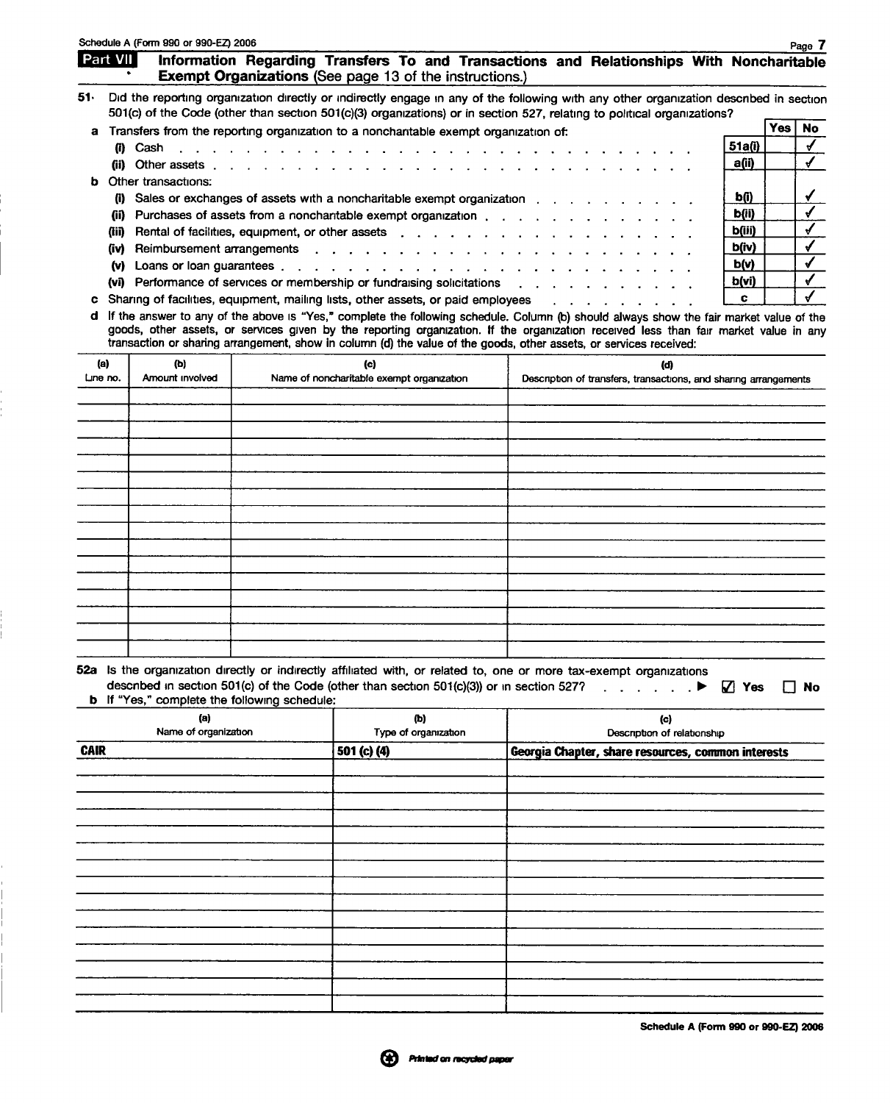|                             |                               | Schedule A (Form 990 or 990-EZ) 2006 |                                                                                                                                                                                                                                                                                                                                                                                                          |  |                                                                         |          |                                      |     | Page 7       |
|-----------------------------|-------------------------------|--------------------------------------|----------------------------------------------------------------------------------------------------------------------------------------------------------------------------------------------------------------------------------------------------------------------------------------------------------------------------------------------------------------------------------------------------------|--|-------------------------------------------------------------------------|----------|--------------------------------------|-----|--------------|
|                             | <b>Part VII</b>               |                                      | Information Regarding Transfers To and Transactions and Relationships With Noncharitable<br><b>Exempt Organizations (See page 13 of the instructions.)</b>                                                                                                                                                                                                                                               |  |                                                                         |          |                                      |     |              |
| 51.                         |                               |                                      | Did the reporting organization directly or indirectly engage in any of the following with any other organization described in section<br>501(c) of the Code (other than section 501(c)(3) organizations) or in section 527, relating to political organizations?                                                                                                                                         |  |                                                                         |          |                                      |     |              |
| a                           |                               |                                      | Transfers from the reporting organization to a nonchantable exempt organization of:                                                                                                                                                                                                                                                                                                                      |  |                                                                         |          |                                      | Yes | <b>No</b>    |
|                             |                               | (i) Cash                             | $\mathbf{r}$ . The set of the set of the set of the set of the set of the set of the set of the set of the set of the set of the set of the set of the set of the set of the set of the set of the set of the set of the set of t                                                                                                                                                                        |  | the contract of the contract of                                         |          | 51a(i)                               |     | $\checkmark$ |
|                             |                               | (ii) Other assets                    |                                                                                                                                                                                                                                                                                                                                                                                                          |  |                                                                         |          | a(ii)                                |     | $\checkmark$ |
| b                           |                               | Other transactions:                  |                                                                                                                                                                                                                                                                                                                                                                                                          |  |                                                                         |          |                                      |     |              |
|                             |                               |                                      | (i) Sales or exchanges of assets with a noncharitable exempt organization                                                                                                                                                                                                                                                                                                                                |  |                                                                         |          | <u>b(i)</u>                          |     | ✓            |
|                             |                               |                                      | (ii) Purchases of assets from a nonchantable exempt organization contact contact contact contact contact conta                                                                                                                                                                                                                                                                                           |  |                                                                         |          | b(ii)                                |     | $\checkmark$ |
|                             |                               |                                      | (iii) Rental of facilities, equipment, or other assets                                                                                                                                                                                                                                                                                                                                                   |  |                                                                         |          | b(iii)                               |     | $\checkmark$ |
|                             |                               |                                      | (iv) Reimbursement arrangements                                                                                                                                                                                                                                                                                                                                                                          |  |                                                                         |          | b(iv)                                |     | $\checkmark$ |
|                             |                               | (v) Loans or loan guarantees.        | $\frac{1}{2}$                                                                                                                                                                                                                                                                                                                                                                                            |  |                                                                         |          | b(v)                                 |     | ✔            |
|                             |                               |                                      | (vi) Performance of services or membership or fundraising solicitations                                                                                                                                                                                                                                                                                                                                  |  |                                                                         |          | b(vi)                                |     |              |
| c                           |                               |                                      | Sharing of facilities, equipment, mailing lists, other assets, or paid employees                                                                                                                                                                                                                                                                                                                         |  |                                                                         | <u>.</u> | c                                    |     |              |
|                             |                               |                                      | d If the answer to any of the above is "Yes," complete the following schedule. Column (b) should always show the fair market value of the<br>goods, other assets, or services given by the reporting organization. If the organization received less than fair market value in any<br>transaction or sharing arrangement, show in column (d) the value of the goods, other assets, or services received: |  |                                                                         |          |                                      |     |              |
| Line no.                    | (a)<br>(b)<br>Amount involved |                                      | (c)<br>Name of noncharitable exempt organization                                                                                                                                                                                                                                                                                                                                                         |  | (d)<br>Description of transfers, transactions, and sharing arrangements |          |                                      |     |              |
|                             |                               |                                      |                                                                                                                                                                                                                                                                                                                                                                                                          |  |                                                                         |          |                                      |     |              |
|                             |                               |                                      |                                                                                                                                                                                                                                                                                                                                                                                                          |  |                                                                         |          |                                      |     |              |
|                             |                               |                                      |                                                                                                                                                                                                                                                                                                                                                                                                          |  |                                                                         |          |                                      |     |              |
|                             |                               |                                      |                                                                                                                                                                                                                                                                                                                                                                                                          |  |                                                                         |          |                                      |     |              |
|                             |                               |                                      |                                                                                                                                                                                                                                                                                                                                                                                                          |  |                                                                         |          |                                      |     |              |
|                             |                               |                                      |                                                                                                                                                                                                                                                                                                                                                                                                          |  |                                                                         |          |                                      |     |              |
|                             |                               |                                      |                                                                                                                                                                                                                                                                                                                                                                                                          |  |                                                                         |          |                                      |     |              |
|                             |                               |                                      |                                                                                                                                                                                                                                                                                                                                                                                                          |  |                                                                         |          |                                      |     |              |
|                             |                               |                                      |                                                                                                                                                                                                                                                                                                                                                                                                          |  |                                                                         |          |                                      |     |              |
|                             |                               |                                      |                                                                                                                                                                                                                                                                                                                                                                                                          |  |                                                                         |          |                                      |     |              |
|                             |                               |                                      |                                                                                                                                                                                                                                                                                                                                                                                                          |  |                                                                         |          |                                      |     |              |
|                             |                               |                                      |                                                                                                                                                                                                                                                                                                                                                                                                          |  |                                                                         |          |                                      |     |              |
|                             |                               |                                      |                                                                                                                                                                                                                                                                                                                                                                                                          |  |                                                                         |          |                                      |     |              |
|                             |                               |                                      |                                                                                                                                                                                                                                                                                                                                                                                                          |  |                                                                         |          |                                      |     |              |
|                             |                               |                                      |                                                                                                                                                                                                                                                                                                                                                                                                          |  |                                                                         |          |                                      |     |              |
| ь                           |                               |                                      | 52a Is the organization directly or indirectly affiliated with, or related to, one or more tax-exempt organizations<br>described in section 501(c) of the Code (other than section 501(c)(3)) or in section 527?<br>If "Yes," complete the following schedule:                                                                                                                                           |  |                                                                         |          | $\mathbf{Z}$ Yes                     |     | $\Box$ No    |
| (a)<br>Name of organization |                               |                                      | (Ъ)<br>Type of organization                                                                                                                                                                                                                                                                                                                                                                              |  | (c)<br>Description of relationship                                      |          |                                      |     |              |
| <b>CAIR</b>                 |                               |                                      | 501 (c) (4)                                                                                                                                                                                                                                                                                                                                                                                              |  | Georgia Chapter, share resources, common interests                      |          |                                      |     |              |
|                             |                               |                                      |                                                                                                                                                                                                                                                                                                                                                                                                          |  |                                                                         |          |                                      |     |              |
|                             |                               |                                      |                                                                                                                                                                                                                                                                                                                                                                                                          |  |                                                                         |          |                                      |     |              |
|                             |                               |                                      |                                                                                                                                                                                                                                                                                                                                                                                                          |  |                                                                         |          |                                      |     |              |
|                             |                               |                                      |                                                                                                                                                                                                                                                                                                                                                                                                          |  |                                                                         |          |                                      |     |              |
|                             |                               |                                      |                                                                                                                                                                                                                                                                                                                                                                                                          |  |                                                                         |          |                                      |     |              |
|                             |                               |                                      |                                                                                                                                                                                                                                                                                                                                                                                                          |  |                                                                         |          |                                      |     |              |
|                             |                               |                                      |                                                                                                                                                                                                                                                                                                                                                                                                          |  |                                                                         |          |                                      |     |              |
|                             |                               |                                      |                                                                                                                                                                                                                                                                                                                                                                                                          |  |                                                                         |          |                                      |     |              |
|                             |                               |                                      |                                                                                                                                                                                                                                                                                                                                                                                                          |  |                                                                         |          |                                      |     |              |
|                             |                               |                                      |                                                                                                                                                                                                                                                                                                                                                                                                          |  |                                                                         |          |                                      |     |              |
|                             |                               |                                      |                                                                                                                                                                                                                                                                                                                                                                                                          |  |                                                                         |          |                                      |     |              |
|                             |                               |                                      |                                                                                                                                                                                                                                                                                                                                                                                                          |  |                                                                         |          |                                      |     |              |
|                             |                               |                                      |                                                                                                                                                                                                                                                                                                                                                                                                          |  |                                                                         |          |                                      |     |              |
|                             |                               |                                      |                                                                                                                                                                                                                                                                                                                                                                                                          |  |                                                                         |          | Schedule A (Form 990 or 990-EZ) 2006 |     |              |
|                             |                               |                                      |                                                                                                                                                                                                                                                                                                                                                                                                          |  |                                                                         |          |                                      |     |              |
|                             |                               |                                      |                                                                                                                                                                                                                                                                                                                                                                                                          |  | Printed on recycled paper                                               |          |                                      |     |              |